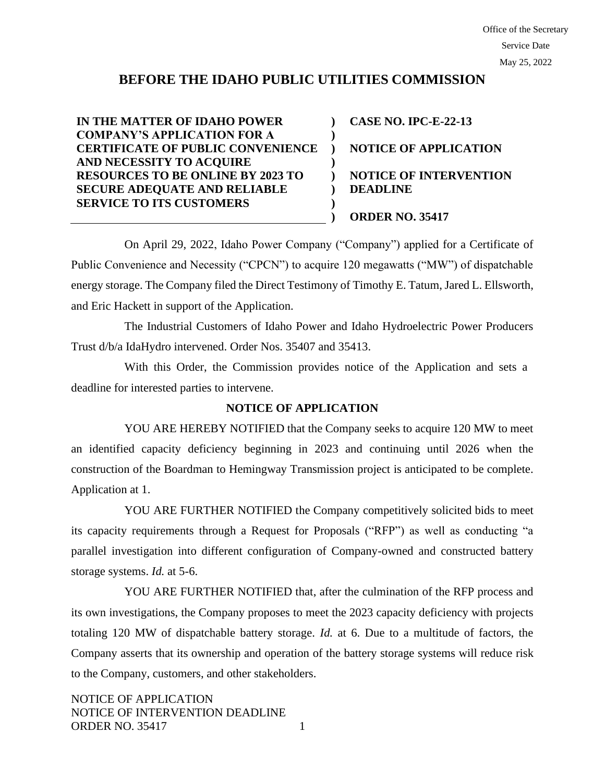# **BEFORE THE IDAHO PUBLIC UTILITIES COMMISSION**

**IN THE MATTER OF IDAHO POWER COMPANY'S APPLICATION FOR A CERTIFICATE OF PUBLIC CONVENIENCE AND NECESSITY TO ACQUIRE RESOURCES TO BE ONLINE BY 2023 TO SECURE ADEQUATE AND RELIABLE SERVICE TO ITS CUSTOMERS ) ) ) ) ) ) ) ) CASE NO. IPC-E-22-13 NOTICE OF APPLICATION NOTICE OF INTERVENTION DEADLINE ORDER NO. 35417**

On April 29, 2022, Idaho Power Company ("Company") applied for a Certificate of Public Convenience and Necessity ("CPCN") to acquire 120 megawatts ("MW") of dispatchable energy storage. The Company filed the Direct Testimony of Timothy E. Tatum, Jared L. Ellsworth, and Eric Hackett in support of the Application.

The Industrial Customers of Idaho Power and Idaho Hydroelectric Power Producers Trust d/b/a IdaHydro intervened. Order Nos. 35407 and 35413.

With this Order, the Commission provides notice of the Application and sets a deadline for interested parties to intervene.

### **NOTICE OF APPLICATION**

YOU ARE HEREBY NOTIFIED that the Company seeks to acquire 120 MW to meet an identified capacity deficiency beginning in 2023 and continuing until 2026 when the construction of the Boardman to Hemingway Transmission project is anticipated to be complete. Application at 1.

YOU ARE FURTHER NOTIFIED the Company competitively solicited bids to meet its capacity requirements through a Request for Proposals ("RFP") as well as conducting "a parallel investigation into different configuration of Company-owned and constructed battery storage systems. *Id.* at 5-6.

YOU ARE FURTHER NOTIFIED that, after the culmination of the RFP process and its own investigations, the Company proposes to meet the 2023 capacity deficiency with projects totaling 120 MW of dispatchable battery storage. *Id.* at 6. Due to a multitude of factors, the Company asserts that its ownership and operation of the battery storage systems will reduce risk to the Company, customers, and other stakeholders.

NOTICE OF APPLICATION NOTICE OF INTERVENTION DEADLINE ORDER NO. 35417 1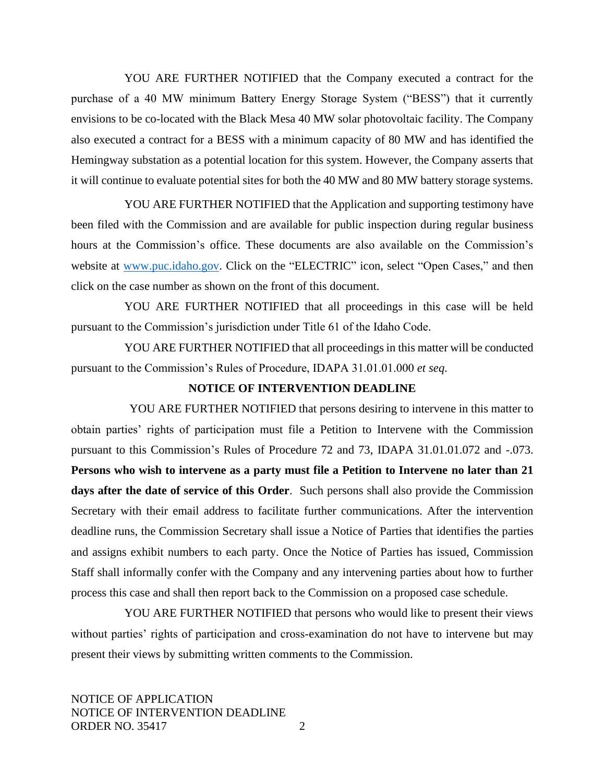YOU ARE FURTHER NOTIFIED that the Company executed a contract for the purchase of a 40 MW minimum Battery Energy Storage System ("BESS") that it currently envisions to be co-located with the Black Mesa 40 MW solar photovoltaic facility. The Company also executed a contract for a BESS with a minimum capacity of 80 MW and has identified the Hemingway substation as a potential location for this system. However, the Company asserts that it will continue to evaluate potential sites for both the 40 MW and 80 MW battery storage systems.

YOU ARE FURTHER NOTIFIED that the Application and supporting testimony have been filed with the Commission and are available for public inspection during regular business hours at the Commission's office. These documents are also available on the Commission's website at [www.puc.idaho.gov.](http://www.puc.idaho.gov/) Click on the "ELECTRIC" icon, select "Open Cases," and then click on the case number as shown on the front of this document.

YOU ARE FURTHER NOTIFIED that all proceedings in this case will be held pursuant to the Commission's jurisdiction under Title 61 of the Idaho Code.

YOU ARE FURTHER NOTIFIED that all proceedings in this matter will be conducted pursuant to the Commission's Rules of Procedure, IDAPA 31.01.01.000 *et seq*.

#### **NOTICE OF INTERVENTION DEADLINE**

YOU ARE FURTHER NOTIFIED that persons desiring to intervene in this matter to obtain parties' rights of participation must file a Petition to Intervene with the Commission pursuant to this Commission's Rules of Procedure 72 and 73, IDAPA 31.01.01.072 and -.073. **Persons who wish to intervene as a party must file a Petition to Intervene no later than 21 days after the date of service of this Order**. Such persons shall also provide the Commission Secretary with their email address to facilitate further communications. After the intervention deadline runs, the Commission Secretary shall issue a Notice of Parties that identifies the parties and assigns exhibit numbers to each party. Once the Notice of Parties has issued, Commission Staff shall informally confer with the Company and any intervening parties about how to further process this case and shall then report back to the Commission on a proposed case schedule.

YOU ARE FURTHER NOTIFIED that persons who would like to present their views without parties' rights of participation and cross-examination do not have to intervene but may present their views by submitting written comments to the Commission.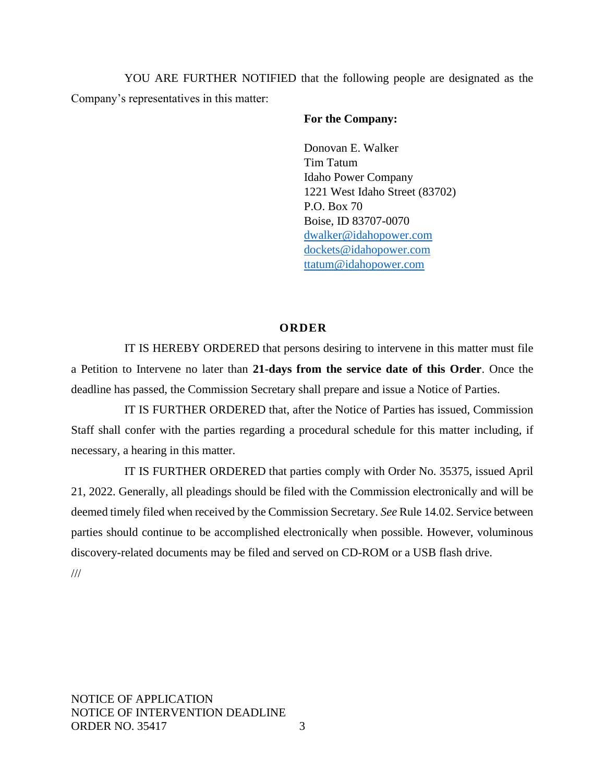YOU ARE FURTHER NOTIFIED that the following people are designated as the Company's representatives in this matter:

## **For the Company:**

Donovan E. Walker Tim Tatum Idaho Power Company 1221 West Idaho Street (83702) P.O. Box 70 Boise, ID 83707-0070 [dwalker@idahopower.com](mailto:dwalker@idahopower.com) [dockets@idahopower.com](mailto:dockets@idahopower.com) [ttatum@idahopower.com](mailto:ttatum@idahopower.com)

## **O R D E R**

IT IS HEREBY ORDERED that persons desiring to intervene in this matter must file a Petition to Intervene no later than **21-days from the service date of this Order**. Once the deadline has passed, the Commission Secretary shall prepare and issue a Notice of Parties.

IT IS FURTHER ORDERED that, after the Notice of Parties has issued, Commission Staff shall confer with the parties regarding a procedural schedule for this matter including, if necessary, a hearing in this matter.

IT IS FURTHER ORDERED that parties comply with Order No. 35375, issued April 21, 2022. Generally, all pleadings should be filed with the Commission electronically and will be deemed timely filed when received by the Commission Secretary. *See* Rule 14.02. Service between parties should continue to be accomplished electronically when possible. However, voluminous discovery-related documents may be filed and served on CD-ROM or a USB flash drive.

///